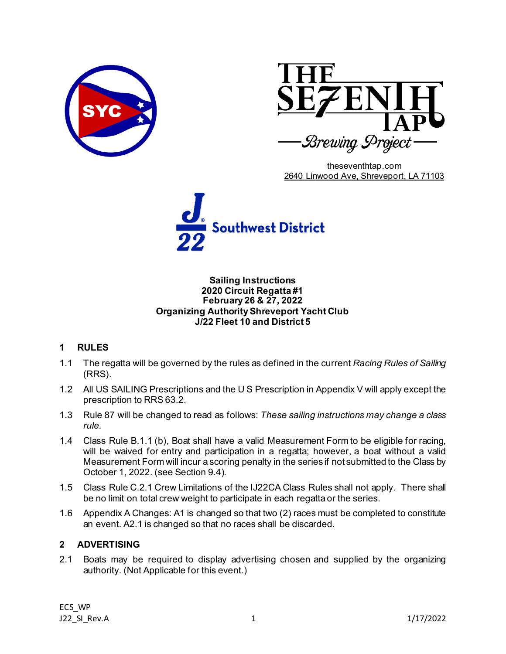



theseventhtap.com [2640 Linwood Ave, Shreveport, LA 71103](https://www.bing.com/local?lid=YN873x4702955197020466211&id=YN873x4702955197020466211&q=The+Seventh+Tap+Brewing+Project&name=The+Seventh+Tap+Brewing+Project&cp=32.486759185791016%7e-93.76256561279297&ppois=32.486759185791016_-93.76256561279297_The+Seventh+Tap+Brewing+Project)



#### **Sailing Instructions 2020 Circuit Regatta #1 February 26 & 27, 2022 Organizing Authority Shreveport Yacht Club J/22 Fleet 10 and District 5**

# **1 RULES**

- 1.1 The regatta will be governed by the rules as defined in the current *Racing Rules of Sailing* (RRS).
- 1.2 All US SAILING Prescriptions and the U S Prescription in Appendix V will apply except the prescription to RRS 63.2.
- 1.3 Rule 87 will be changed to read as follows: *These sailing instructions may change a class rule.*
- 1.4 Class Rule B.1.1 (b), Boat shall have a valid Measurement Form to be eligible for racing, will be waived for entry and participation in a regatta; however, a boat without a valid Measurement Form will incur a scoring penalty in the series if not submitted to the Class by October 1, 2022. (see Section 9.4).
- 1.5 Class Rule C.2.1 Crew Limitations of the IJ22CA Class Rules shall not apply. There shall be no limit on total crew weight to participate in each regatta or the series.
- 1.6 Appendix A Changes: A1 is changed so that two (2) races must be completed to constitute an event. A2.1 is changed so that no races shall be discarded.

# **2 ADVERTISING**

2.1 Boats may be required to display advertising chosen and supplied by the organizing authority. (Not Applicable for this event.)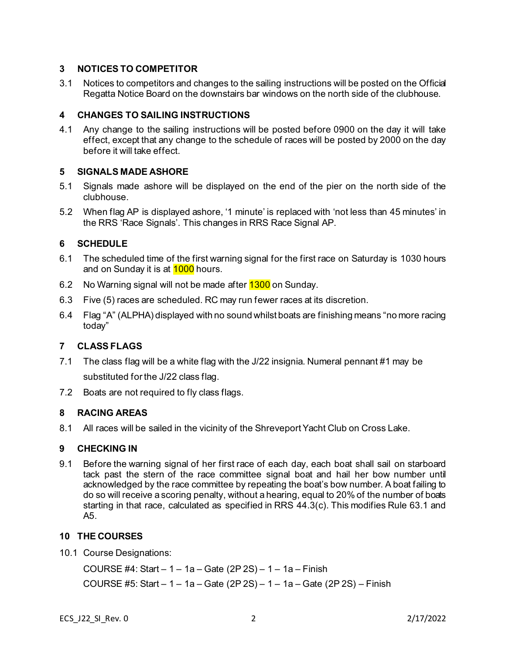## **3 NOTICES TO COMPETITOR**

3.1 Notices to competitors and changes to the sailing instructions will be posted on the Official Regatta Notice Board on the downstairs bar windows on the north side of the clubhouse.

### **4 CHANGES TO SAILING INSTRUCTIONS**

4.1 Any change to the sailing instructions will be posted before 0900 on the day it will take effect, except that any change to the schedule of races will be posted by 2000 on the day before it will take effect.

## **5 SIGNALS MADE ASHORE**

- 5.1 Signals made ashore will be displayed on the end of the pier on the north side of the clubhouse.
- 5.2 When flag AP is displayed ashore, '1 minute' is replaced with 'not less than 45 minutes' in the RRS 'Race Signals'. This changes in RRS Race Signal AP.

## **6 SCHEDULE**

- 6.1 The scheduled time of the first warning signal for the first race on Saturday is 1030 hours and on Sunday it is at 1000 hours.
- 6.2 No Warning signal will not be made after **1300** on Sunday.
- 6.3 Five (5) races are scheduled. RC may run fewer races at its discretion.
- 6.4 Flag "A" (ALPHA) displayed with no sound whilst boats are finishing means "no more racing today"

### **7 CLASS FLAGS**

- 7.1 The class flag will be a white flag with the J/22 insignia. Numeral pennant #1 may be substituted for the J/22 class flag.
- 7.2 Boats are not required to fly class flags.

### **8 RACING AREAS**

8.1 All races will be sailed in the vicinity of the ShreveportYacht Club on Cross Lake.

### **9 CHECKING IN**

9.1 Before the warning signal of her first race of each day, each boat shall sail on starboard tack past the stern of the race committee signal boat and hail her bow number until acknowledged by the race committee by repeating the boat's bow number. A boat failing to do so will receive a scoring penalty, without a hearing, equal to 20% of the number of boats starting in that race, calculated as specified in RRS 44.3(c). This modifies Rule 63.1 and A5.

### **10 THE COURSES**

10.1 Course Designations:

COURSE #4: Start – 1 – 1a – Gate (2P 2S) – 1 – 1a – Finish COURSE #5: Start – 1 – 1a – Gate (2P 2S) – 1 – 1a – Gate (2P 2S) – Finish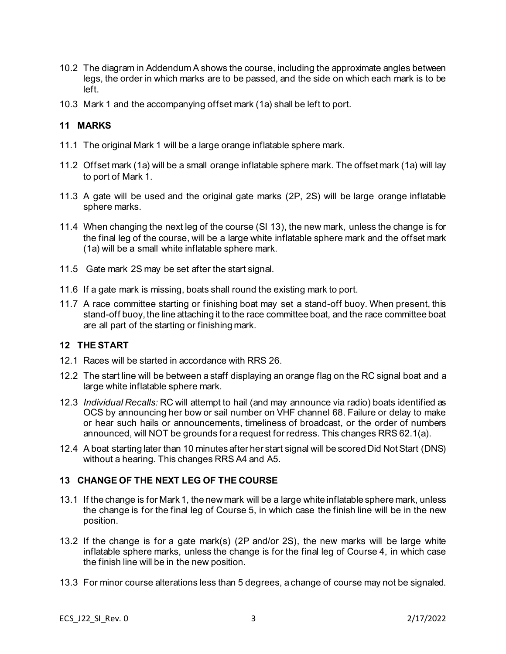- 10.2 The diagram in Addendum A shows the course, including the approximate angles between legs, the order in which marks are to be passed, and the side on which each mark is to be left.
- 10.3 Mark 1 and the accompanying offset mark (1a) shall be left to port.

## **11 MARKS**

- 11.1 The original Mark 1 will be a large orange inflatable sphere mark.
- 11.2 Offset mark (1a) will be a small orange inflatable sphere mark. The offset mark (1a) will lay to port of Mark 1.
- 11.3 A gate will be used and the original gate marks (2P, 2S) will be large orange inflatable sphere marks.
- 11.4 When changing the next leg of the course (SI 13), the new mark, unless the change is for the final leg of the course, will be a large white inflatable sphere mark and the offset mark (1a) will be a small white inflatable sphere mark.
- 11.5 Gate mark 2S may be set after the start signal.
- 11.6 If a gate mark is missing, boats shall round the existing mark to port.
- 11.7 A race committee starting or finishing boat may set a stand-off buoy. When present, this stand-off buoy, the line attaching it to the race committee boat, and the race committee boat are all part of the starting or finishing mark.

### **12 THE START**

- 12.1 Races will be started in accordance with RRS 26.
- 12.2 The start line will be between a staff displaying an orange flag on the RC signal boat and a large white inflatable sphere mark.
- 12.3 *Individual Recalls:* RC will attempt to hail (and may announce via radio) boats identified as OCS by announcing her bow or sail number on VHF channel 68. Failure or delay to make or hear such hails or announcements, timeliness of broadcast, or the order of numbers announced, will NOT be grounds for a request for redress. This changes RRS 62.1(a).
- 12.4 A boat starting later than 10 minutes after her start signal will be scored Did Not Start (DNS) without a hearing. This changes RRS A4 and A5.

# **13 CHANGE OF THE NEXT LEG OF THE COURSE**

- 13.1 If the change is for Mark 1, the new mark will be a large white inflatable sphere mark, unless the change is for the final leg of Course 5, in which case the finish line will be in the new position.
- 13.2 If the change is for a gate mark(s) (2P and/or 2S), the new marks will be large white inflatable sphere marks, unless the change is for the final leg of Course 4, in which case the finish line will be in the new position.
- 13.3 For minor course alterations less than 5 degrees, a change of course may not be signaled.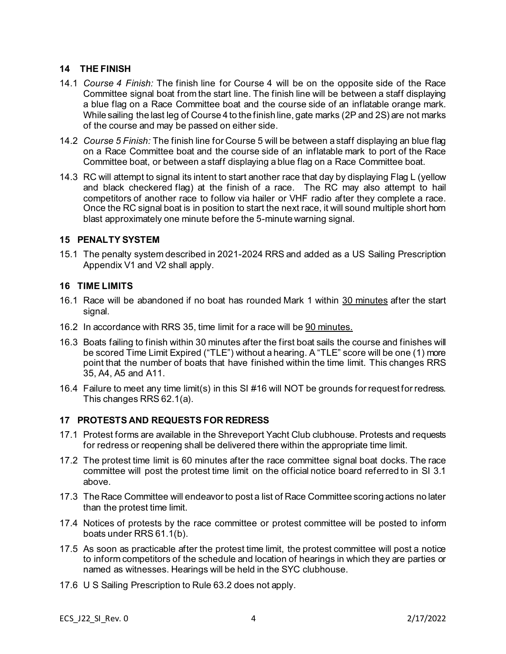## **14 THE FINISH**

- 14.1 *Course 4 Finish:* The finish line for Course 4 will be on the opposite side of the Race Committee signal boat from the start line. The finish line will be between a staff displaying a blue flag on a Race Committee boat and the course side of an inflatable orange mark. While sailing the last leg of Course 4 to the finish line, gate marks (2P and 2S) are not marks of the course and may be passed on either side.
- 14.2 *Course 5 Finish:* The finish line for Course 5 will be between a staff displaying an blue flag on a Race Committee boat and the course side of an inflatable mark to port of the Race Committee boat, or between a staff displaying a blue flag on a Race Committee boat.
- 14.3 RC will attempt to signal its intent to start another race that day by displaying Flag L (yellow and black checkered flag) at the finish of a race. The RC may also attempt to hail competitors of another race to follow via hailer or VHF radio after they complete a race. Once the RC signal boat is in position to start the next race, it will sound multiple short horn blast approximately one minute before the 5-minute warning signal.

### **15 PENALTY SYSTEM**

15.1 The penalty system described in 2021-2024 RRS and added as a US Sailing Prescription Appendix V1 and V2 shall apply.

#### **16 TIME LIMITS**

- 16.1 Race will be abandoned if no boat has rounded Mark 1 within 30 minutes after the start signal.
- 16.2 In accordance with RRS 35, time limit for a race will be 90 minutes.
- 16.3 Boats failing to finish within 30 minutes after the first boat sails the course and finishes will be scored Time Limit Expired ("TLE") without a hearing. A "TLE" score will be one (1) more point that the number of boats that have finished within the time limit. This changes RRS 35, A4, A5 and A11.
- 16.4 Failure to meet any time limit(s) in this SI #16 will NOT be grounds for request for redress. This changes RRS 62.1(a).

### **17 PROTESTS AND REQUESTS FOR REDRESS**

- 17.1 Protest forms are available in the Shreveport Yacht Club clubhouse. Protests and requests for redress or reopening shall be delivered there within the appropriate time limit.
- 17.2 The protest time limit is 60 minutes after the race committee signal boat docks. The race committee will post the protest time limit on the official notice board referred to in SI 3.1 above.
- 17.3 The Race Committee will endeavor to post a list of Race Committee scoring actions no later than the protest time limit.
- 17.4 Notices of protests by the race committee or protest committee will be posted to inform boats under RRS 61.1(b).
- 17.5 As soon as practicable after the protest time limit, the protest committee will post a notice to inform competitors of the schedule and location of hearings in which they are parties or named as witnesses. Hearings will be held in the SYC clubhouse.
- 17.6 U S Sailing Prescription to Rule 63.2 does not apply.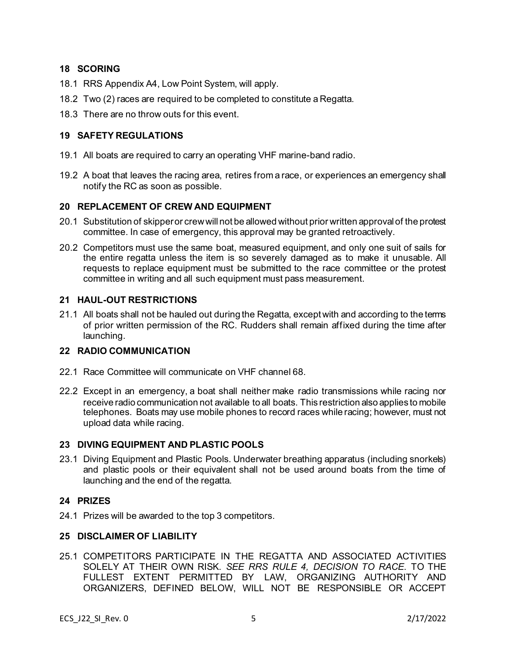## **18 SCORING**

- 18.1 RRS Appendix A4, Low Point System, will apply.
- 18.2 Two (2) races are required to be completed to constitute a Regatta.
- 18.3 There are no throw outs for this event.

### **19 SAFETY REGULATIONS**

- 19.1 All boats are required to carry an operating VHF marine-band radio.
- 19.2 A boat that leaves the racing area, retires from a race, or experiences an emergency shall notify the RC as soon as possible.

### **20 REPLACEMENT OF CREW AND EQUIPMENT**

- 20.1 Substitution of skipper or crew will not be allowed without prior written approval of the protest committee. In case of emergency, this approval may be granted retroactively.
- 20.2 Competitors must use the same boat, measured equipment, and only one suit of sails for the entire regatta unless the item is so severely damaged as to make it unusable. All requests to replace equipment must be submitted to the race committee or the protest committee in writing and all such equipment must pass measurement.

### **21 HAUL-OUT RESTRICTIONS**

21.1 All boats shall not be hauled out during the Regatta, except with and according to the terms of prior written permission of the RC. Rudders shall remain affixed during the time after launching.

### **22 RADIO COMMUNICATION**

- 22.1 Race Committee will communicate on VHF channel 68.
- 22.2 Except in an emergency, a boat shall neither make radio transmissions while racing nor receive radio communication not available to all boats. This restriction also applies to mobile telephones. Boats may use mobile phones to record races while racing; however, must not upload data while racing.

#### **23 DIVING EQUIPMENT AND PLASTIC POOLS**

23.1 Diving Equipment and Plastic Pools. Underwater breathing apparatus (including snorkels) and plastic pools or their equivalent shall not be used around boats from the time of launching and the end of the regatta.

#### **24 PRIZES**

24.1 Prizes will be awarded to the top 3 competitors.

### **25 DISCLAIMER OF LIABILITY**

25.1 COMPETITORS PARTICIPATE IN THE REGATTA AND ASSOCIATED ACTIVITIES SOLELY AT THEIR OWN RISK. *SEE RRS RULE 4, DECISION TO RACE*. TO THE FULLEST EXTENT PERMITTED BY LAW, ORGANIZING AUTHORITY AND ORGANIZERS, DEFINED BELOW, WILL NOT BE RESPONSIBLE OR ACCEPT